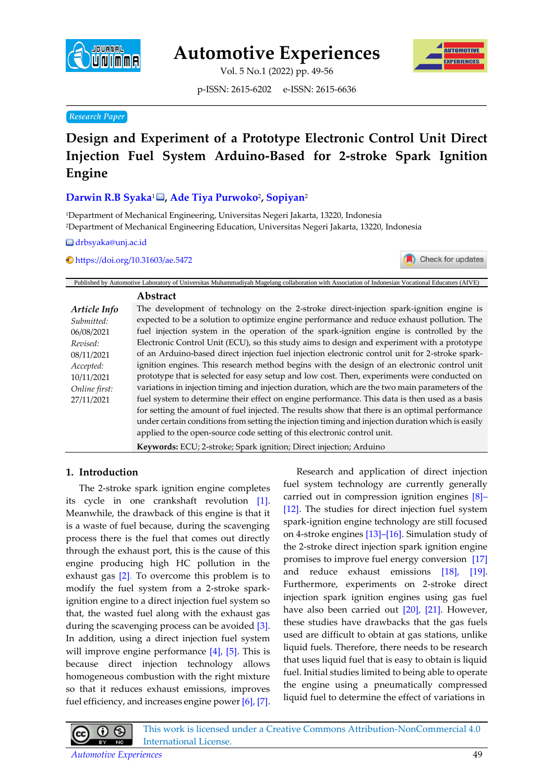

**Automotive Experiences**

Vol. 5 No.1 (2022) pp. 49-56



p-ISSN: 2615-6202 e-ISSN: 2615-6636

## **Research Paper**

# **Design and Experiment of a Prototype Electronic Control Unit Direct Injection Fuel System Arduino-Based for 2-stroke Spark Ignition Engine**

# **Darwin R.B Syaka**<sup>1</sup> **, Ade Tiya Purwoko**<sup>2</sup> **, Sopiyan**<sup>2</sup>

<sup>1</sup>Department of Mechanical Engineering, Universitas Negeri Jakarta, 13220, Indonesia <sup>2</sup>Department of Mechanical Engineering Education, Universitas Negeri Jakarta, 13220, Indonesia

drbsyaka@unj.ac.id

<https://doi.org/10.31603/ae.5472>



|               | Published by Automotive Laboratory of Universitas Muhammadiyah Magelang collaboration with Association of Indonesian Vocational Educators (AIVE) |
|---------------|--------------------------------------------------------------------------------------------------------------------------------------------------|
|               | Abstract                                                                                                                                         |
| Article Info  | The development of technology on the 2-stroke direct-injection spark-ignition engine is                                                          |
| Submitted:    | expected to be a solution to optimize engine performance and reduce exhaust pollution. The                                                       |
| 06/08/2021    | fuel injection system in the operation of the spark-ignition engine is controlled by the                                                         |
| Revised:      | Electronic Control Unit (ECU), so this study aims to design and experiment with a prototype                                                      |
| 08/11/2021    | of an Arduino-based direct injection fuel injection electronic control unit for 2-stroke spark-                                                  |
| Accepted:     | ignition engines. This research method begins with the design of an electronic control unit                                                      |
| 10/11/2021    | prototype that is selected for easy setup and low cost. Then, experiments were conducted on                                                      |
| Online first: | variations in injection timing and injection duration, which are the two main parameters of the                                                  |
| 27/11/2021    | fuel system to determine their effect on engine performance. This data is then used as a basis                                                   |
|               | for setting the amount of fuel injected. The results show that there is an optimal performance                                                   |
|               | under certain conditions from setting the injection timing and injection duration which is easily                                                |
|               | applied to the open-source code setting of this electronic control unit.                                                                         |
|               | <b>Keywords:</b> ECU; 2-stroke; Spark ignition; Direct injection; Arduino                                                                        |

## **1. Introduction**

The 2-stroke spark ignition engine completes its cycle in one crankshaft revolution [\[1\].](#page-5-0) Meanwhile, the drawback of this engine is that it is a waste of fuel because, during the scavenging process there is the fuel that comes out directly through the exhaust port, this is the cause of this engine producing high HC pollution in the exhaust gas [\[2\].](#page-5-0) To overcome this problem is to modify the fuel system from a 2-stroke sparkignition engine to a direct injection fuel system so that, the wasted fuel along with the exhaust gas during the scavenging process can be avoided [\[3\].](#page-5-0) In addition, using a direct injection fuel system will improve engine performance [\[4\], \[5\].](#page-5-0) This is because direct injection technology allows homogeneous combustion with the right mixture so that it reduces exhaust emissions, improves fuel efficiency, and increases engine powe[r \[6\], \[7\].](#page-5-0)

Research and application of direct injection fuel system technology are currently generally carried out in compression ignition engines [\[8\]](#page-5-0)– [12]. The studies for direct injection fuel system spark-ignition engine technology are still focused on 4-stroke engines [\[13\]](#page-5-0)–[16]. Simulation study of the 2-stroke direct injection spark ignition engine promises to improve fuel energy conversion [\[17\]](#page-5-0) and reduce exhaust emissions [\[18\], \[19\].](#page-5-0) Furthermore, experiments on 2-stroke direct injection spark ignition engines using gas fuel have also been carried out [\[20\], \[21\].](#page-5-0) However, these studies have drawbacks that the gas fuels used are difficult to obtain at gas stations, unlike liquid fuels. Therefore, there needs to be research that uses liquid fuel that is easy to obtain is liquid fuel. Initial studies limited to being able to operate the engine using a pneumatically compressed liquid fuel to determine the effect of variations in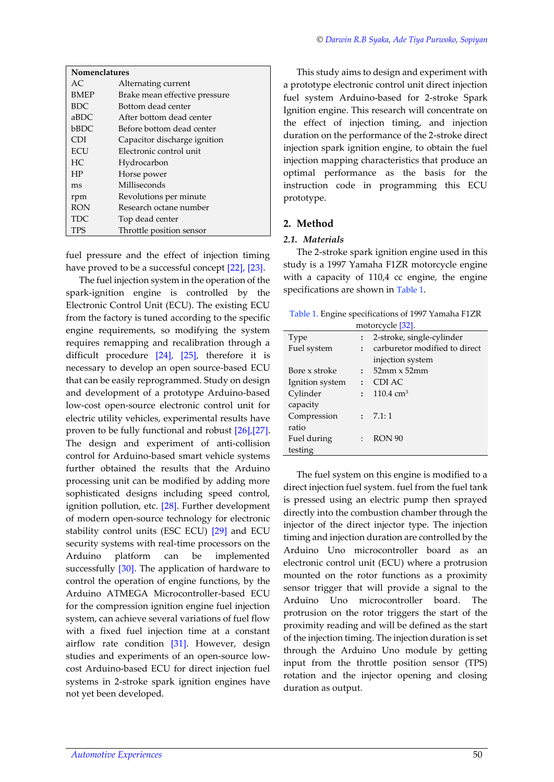|  |  |  |  |  |  | © Darwin R.B Syaka, Ade Tiya Purwoko, Sopiyan |  |
|--|--|--|--|--|--|-----------------------------------------------|--|
|--|--|--|--|--|--|-----------------------------------------------|--|

| <b>Nomenclatures</b> |                               |  |  |
|----------------------|-------------------------------|--|--|
| AC.                  | Alternating current           |  |  |
| <b>BMEP</b>          | Brake mean effective pressure |  |  |
| <b>BDC</b>           | Bottom dead center            |  |  |
| aBDC                 | After bottom dead center      |  |  |
| bBDC                 | Before bottom dead center     |  |  |
| <b>CDI</b>           | Capacitor discharge ignition  |  |  |
| <b>ECU</b>           | Electronic control unit       |  |  |
| HC.                  | Hydrocarbon                   |  |  |
| HP                   | Horse power                   |  |  |
| ms                   | Milliseconds                  |  |  |
| rpm                  | Revolutions per minute        |  |  |
| <b>RON</b>           | Research octane number        |  |  |
| TDC.                 | Top dead center               |  |  |
| TPS                  | Throttle position sensor      |  |  |

fuel pressure and the effect of injection timing have proved to be a successful concept [\[22\], \[23\].](#page-5-0)

The fuel injection system in the operation of the spark-ignition engine is controlled by the Electronic Control Unit (ECU). The existing ECU from the factory is tuned according to the specific engine requirements, so modifying the system requires remapping and recalibration through a difficult procedure [\[24\], \[25\],](#page-5-0) therefore it is necessary to develop an open source-based ECU that can be easily reprogrammed. Study on design and development of a prototype Arduino-based low-cost open-source electronic control unit for electric utility vehicles, experimental results have proven to be fully functional and robust [\[26\],\[27\]](#page-5-1). The design and experiment of anti-collision control for Arduino-based smart vehicle systems further obtained the results that the Arduino processing unit can be modified by adding more sophisticated designs including speed control, ignition pollution, etc. [\[28\].](#page-5-0) Further development of modern open-source technology for electronic stability control units (ESC ECU) [\[29\]](#page-5-0) and ECU security systems with real-time processors on the Arduino platform can be implemented successfully [\[30\].](#page-5-0) The application of hardware to control the operation of engine functions, by the Arduino ATMEGA Microcontroller-based ECU for the compression ignition engine fuel injection system, can achieve several variations of fuel flow with a fixed fuel injection time at a constant airflow rate condition [\[31\].](#page-5-0) However, design studies and experiments of an open-source lowcost Arduino-based ECU for direct injection fuel systems in 2-stroke spark ignition engines have not yet been developed.

This study aims to design and experiment with a prototype electronic control unit direct injection fuel system Arduino-based for 2-stroke Spark Ignition engine. This research will concentrate on the effect of injection timing, and injection duration on the performance of the 2-stroke direct injection spark ignition engine, to obtain the fuel injection mapping characteristics that produce an optimal performance as the basis for the instruction code in programming this ECU prototype.

## **2. Method**

#### *2.1. Materials*

The 2-stroke spark ignition engine used in this study is a 1997 Yamaha F1ZR motorcycle engine with a capacity of 110,4 cc engine, the engine specifications are shown in [Table 1](#page-1-0).

<span id="page-1-0"></span>

| Table 1. Engine specifications of 1997 Yamaha F1ZR |
|----------------------------------------------------|
| motorcycle [32].                                   |

| Type            |                | 2-stroke, single-cylinder     |
|-----------------|----------------|-------------------------------|
| Fuel system     | $\ddot{\cdot}$ | carburetor modified to direct |
|                 |                | injection system              |
| Bore x stroke   | $\mathbf{r}$   | $52$ mm $\times$ 52mm         |
| Ignition system | $\ddot{\cdot}$ | CDI AC                        |
| Cylinder        | $\ddot{\cdot}$ | $110.4 \text{ cm}^3$          |
| capacity        |                |                               |
| Compression     |                | : 7.1:1                       |
| ratio           |                |                               |
| Fuel during     |                | RON <sub>90</sub>             |
| testing         |                |                               |

The fuel system on this engine is modified to a direct injection fuel system. fuel from the fuel tank is pressed using an electric pump then sprayed directly into the combustion chamber through the injector of the direct injector type. The injection timing and injection duration are controlled by the Arduino Uno microcontroller board as an electronic control unit (ECU) where a protrusion mounted on the rotor functions as a proximity sensor trigger that will provide a signal to the Arduino Uno microcontroller board. The protrusion on the rotor triggers the start of the proximity reading and will be defined as the start of the injection timing. The injection duration is set through the Arduino Uno module by getting input from the throttle position sensor (TPS) rotation and the injector opening and closing duration as output.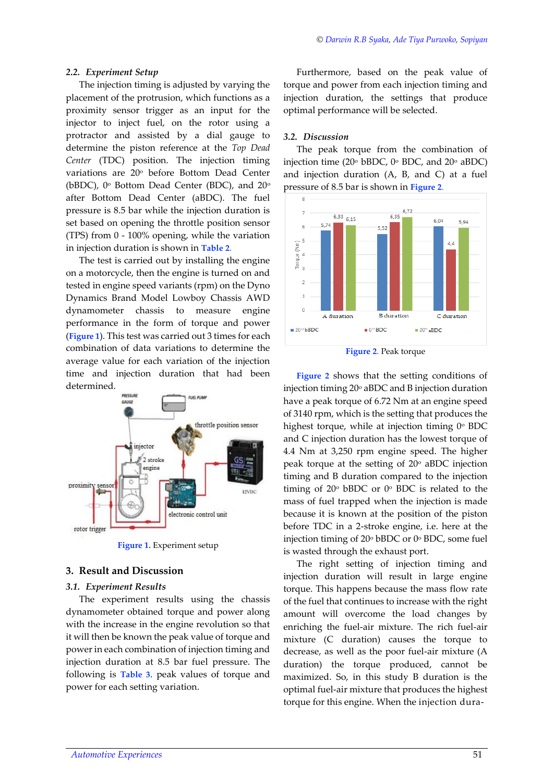#### *2.2. Experiment Setup*

The injection timing is adjusted by varying the placement of the protrusion, which functions as a proximity sensor trigger as an input for the injector to inject fuel, on the rotor using a protractor and assisted by a dial gauge to determine the piston reference at the *Top Dead Center* (TDC) position. The injection timing variations are 20° before Bottom Dead Center (bBDC),  $0^\circ$  Bottom Dead Center (BDC), and  $20^\circ$ after Bottom Dead Center (aBDC). The fuel pressure is 8.5 bar while the injection duration is set based on opening the throttle position sensor (TPS) from 0 - 100% opening, while the variation in injection duration is shown in **[Table](#page-3-0) 2**.

The test is carried out by installing the engine on a motorcycle, then the engine is turned on and tested in engine speed variants (rpm) on the Dyno Dynamics Brand Model Lowboy Chassis AWD dynamometer chassis to measure engine performance in the form of torque and power (**[Figure 1](#page-2-0)**). This test was carried out 3 times for each combination of data variations to determine the average value for each variation of the injection time and injection duration that had been determined.



**Figure 1.** Experiment setup

## <span id="page-2-0"></span>**3. Result and Discussion**

#### *3.1. Experiment Results*

The experiment results using the chassis dynamometer obtained torque and power along with the increase in the engine revolution so that it will then be known the peak value of torque and power in each combination of injection timing and injection duration at 8.5 bar fuel pressure. The following is **[Table 3](#page-3-1)**. peak values of torque and power for each setting variation.

Furthermore, based on the peak value of torque and power from each injection timing and injection duration, the settings that produce optimal performance will be selected.

## *3.2. Discussion*

The peak torque from the combination of injection time (20 $\textdegree$  bBDC, 0 $\textdegree$  BDC, and 20 $\textdegree$  aBDC) and injection duration (A, B, and C) at a fuel pressure of 8.5 bar is shown in **[Figure 2](#page-2-1)**.



**Figure 2**. Peak torque

<span id="page-2-1"></span>**[Figure 2](#page-2-1)** shows that the setting conditions of injection timing  $20^{\circ}$  aBDC and B injection duration have a peak torque of 6.72 Nm at an engine speed of 3140 rpm, which is the setting that produces the highest torque, while at injection timing  $0^{\circ}$  BDC and C injection duration has the lowest torque of 4.4 Nm at 3,250 rpm engine speed. The higher peak torque at the setting of  $20^{\circ}$  aBDC injection timing and B duration compared to the injection timing of 20<sup>o</sup> bBDC or 0<sup>o</sup> BDC is related to the mass of fuel trapped when the injection is made because it is known at the position of the piston before TDC in a 2-stroke engine, i.e. here at the injection timing of 20<sup>o</sup> bBDC or 0<sup>o</sup> BDC, some fuel is wasted through the exhaust port.

The right setting of injection timing and injection duration will result in large engine torque. This happens because the mass flow rate of the fuel that continues to increase with the right amount will overcome the load changes by enriching the fuel-air mixture. The rich fuel-air mixture (C duration) causes the torque to decrease, as well as the poor fuel-air mixture (A duration) the torque produced, cannot be maximized. So, in this study B duration is the optimal fuel-air mixture that produces the highest torque for this engine. When the injection dura-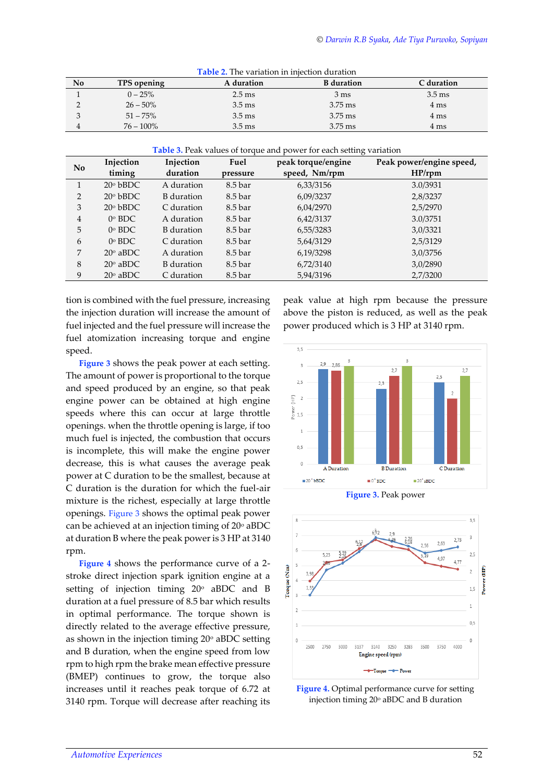<span id="page-3-0"></span>

| No | TPS opening  | A duration       | <b>B</b> duration | C duration       |
|----|--------------|------------------|-------------------|------------------|
|    | $0 - 25%$    | $2.5 \text{ ms}$ | $3 \text{ ms}$    | $3.5 \text{ ms}$ |
|    | $26 - 50\%$  | $3.5 \text{ ms}$ | $3.75$ ms         | 4 ms             |
|    | $51 - 75\%$  | $3.5 \text{ ms}$ | $3.75$ ms         | 4 ms             |
|    | $76 - 100\%$ | $3.5 \text{ ms}$ | $3.75$ ms         | 4 ms             |

**Table 2.** The variation in injection duration

**Table 3.** Peak values of torque and power for each setting variation

<span id="page-3-1"></span>

| No             | Injection         | Injection  | Fuel     | peak torque/engine | Peak power/engine speed, |
|----------------|-------------------|------------|----------|--------------------|--------------------------|
|                | timing            | duration   | pressure | speed, Nm/rpm      | $HP$ /rpm                |
| 1              | $20°$ bBDC        | A duration | 8.5 bar  | 6,33/3156          | 3.0/3931                 |
| 2              | $20°$ bBDC        | B duration | 8.5 bar  | 6,09/3237          | 2,8/3237                 |
| 3              | $20°$ bBDC        | C duration | 8.5 bar  | 6,04/2970          | 2,5/2970                 |
| $\overline{4}$ | $0^\circ$ BDC     | A duration | 8.5 bar  | 6,42/3137          | 3.0/3751                 |
| 5              | $0^\circ$ BDC     | B duration | 8.5 bar  | 6,55/3283          | 3,0/3321                 |
| 6              | $0^\circ$ BDC     | C duration | 8.5 bar  | 5,64/3129          | 2,5/3129                 |
| 7              | $20^\circ$ aBDC   | A duration | 8.5 bar  | 6,19/3298          | 3,0/3756                 |
| 8              | $20^{\circ}$ aBDC | B duration | 8.5 bar  | 6,72/3140          | 3,0/2890                 |
| 9              | $20^\circ$ aBDC   | C duration | 8.5 bar  | 5,94/3196          | 2,7/3200                 |

tion is combined with the fuel pressure, increasing the injection duration will increase the amount of fuel injected and the fuel pressure will increase the fuel atomization increasing torque and engine speed.

**[Figure 3](#page-3-2)** shows the peak power at each setting. The amount of power is proportional to the torque and speed produced by an engine, so that peak engine power can be obtained at high engine speeds where this can occur at large throttle openings. when the throttle opening is large, if too much fuel is injected, the combustion that occurs is incomplete, this will make the engine power decrease, this is what causes the average peak power at C duration to be the smallest, because at C duration is the duration for which the fuel-air mixture is the richest, especially at large throttle openings. [Figure 3](#page-3-2) shows the optimal peak power can be achieved at an injection timing of  $20^{\circ}$  aBDC at duration B where the peak power is 3 HP at 3140 rpm.

**[Figure 4](#page-3-3)** shows the performance curve of a 2 stroke direct injection spark ignition engine at a setting of injection timing  $20^{\circ}$  aBDC and B duration at a fuel pressure of 8.5 bar which results in optimal performance. The torque shown is directly related to the average effective pressure, as shown in the injection timing  $20^{\circ}$  aBDC setting and B duration, when the engine speed from low rpm to high rpm the brake mean effective pressure (BMEP) continues to grow, the torque also increases until it reaches peak torque of 6.72 at 3140 rpm. Torque will decrease after reaching its peak value at high rpm because the pressure above the piston is reduced, as well as the peak power produced which is 3 HP at 3140 rpm.





<span id="page-3-2"></span>

<span id="page-3-3"></span>**Figure 4.** Optimal performance curve for setting injection timing 20° aBDC and B duration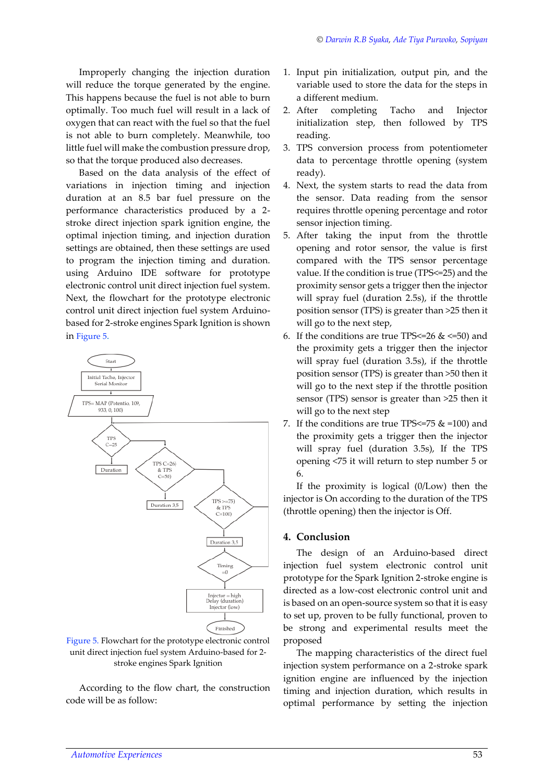Improperly changing the injection duration will reduce the torque generated by the engine. This happens because the fuel is not able to burn optimally. Too much fuel will result in a lack of oxygen that can react with the fuel so that the fuel is not able to burn completely. Meanwhile, too little fuel will make the combustion pressure drop, so that the torque produced also decreases.

Based on the data analysis of the effect of variations in injection timing and injection duration at an 8.5 bar fuel pressure on the performance characteristics produced by a 2 stroke direct injection spark ignition engine, the optimal injection timing, and injection duration settings are obtained, then these settings are used to program the injection timing and duration. using Arduino IDE software for prototype electronic control unit direct injection fuel system. Next, the flowchart for the prototype electronic control unit direct injection fuel system Arduinobased for 2-stroke engines Spark Ignition is shown in [Figure 5](#page-4-0).



## <span id="page-4-0"></span>Figure 5. Flowchart for the prototype electronic control unit direct injection fuel system Arduino-based for 2 stroke engines Spark Ignition

According to the flow chart, the construction code will be as follow:

- 1. Input pin initialization, output pin, and the variable used to store the data for the steps in a different medium.
- 2. After completing Tacho and Injector initialization step, then followed by TPS reading.
- 3. TPS conversion process from potentiometer data to percentage throttle opening (system ready).
- 4. Next, the system starts to read the data from the sensor. Data reading from the sensor requires throttle opening percentage and rotor sensor injection timing.
- 5. After taking the input from the throttle opening and rotor sensor, the value is first compared with the TPS sensor percentage value. If the condition is true (TPS<=25) and the proximity sensor gets a trigger then the injector will spray fuel (duration 2.5s), if the throttle position sensor (TPS) is greater than >25 then it will go to the next step,
- 6. If the conditions are true TPS $\leq$  26 &  $\leq$  =50) and the proximity gets a trigger then the injector will spray fuel (duration 3.5s), if the throttle position sensor (TPS) is greater than >50 then it will go to the next step if the throttle position sensor (TPS) sensor is greater than >25 then it will go to the next step
- 7. If the conditions are true TPS <=  $75 \& = 100$ ) and the proximity gets a trigger then the injector will spray fuel (duration 3.5s), If the TPS opening <75 it will return to step number 5 or 6.

If the proximity is logical (0/Low) then the injector is On according to the duration of the TPS (throttle opening) then the injector is Off.

# **4. Conclusion**

The design of an Arduino-based direct injection fuel system electronic control unit prototype for the Spark Ignition 2-stroke engine is directed as a low-cost electronic control unit and is based on an open-source system so that it is easy to set up, proven to be fully functional, proven to be strong and experimental results meet the proposed

The mapping characteristics of the direct fuel injection system performance on a 2-stroke spark ignition engine are influenced by the injection timing and injection duration, which results in optimal performance by setting the injection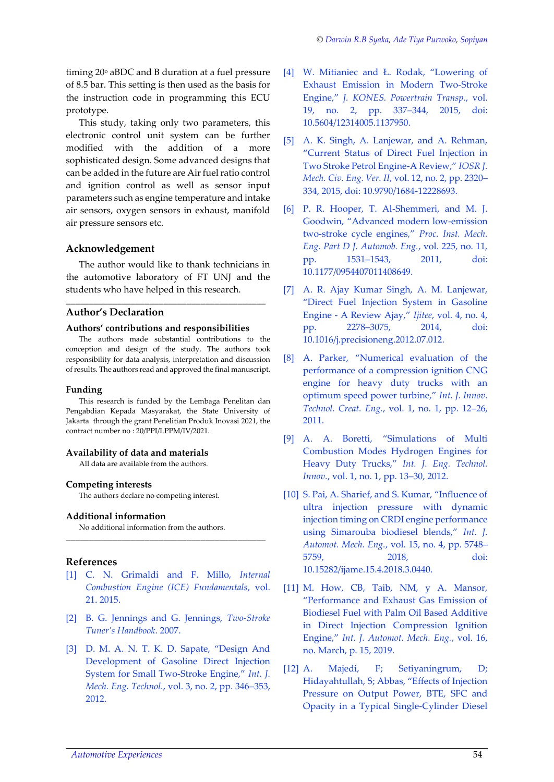timing  $20^{\circ}$  aBDC and B duration at a fuel pressure of 8.5 bar. This setting is then used as the basis for the instruction code in programming this ECU prototype.

This study, taking only two parameters, this electronic control unit system can be further modified with the addition of a more sophisticated design. Some advanced designs that can be added in the future are Air fuel ratio control and ignition control as well as sensor input parameters such as engine temperature and intake air sensors, oxygen sensors in exhaust, manifold air pressure sensors etc.

## **Acknowledgement**

The author would like to thank technicians in the automotive laboratory of FT UNJ and the students who have helped in this research.

\_\_\_\_\_\_\_\_\_\_\_\_\_\_\_\_\_\_\_\_\_\_\_\_\_\_\_\_\_\_\_\_\_\_\_\_\_\_\_\_\_\_\_

# **Author's Declaration**

#### **Authors' contributions and responsibilities**

The authors made substantial contributions to the conception and design of the study. The authors took responsibility for data analysis, interpretation and discussion of results. The authors read and approved the final manuscript.

#### **Funding**

This research is funded by the Lembaga Penelitan dan Pengabdian Kepada Masyarakat, the State University of Jakarta through the grant Penelitian Produk Inovasi 2021, the contract number no : 20/PPI/LPPM/IV/2021.

## **Availability of data and materials**

All data are available from the authors.

#### **Competing interests**

The authors declare no competing interest.

#### **Additional information**

No additional information from the authors.

# <span id="page-5-1"></span>**References**

[1] C. N. Grimaldi and F. Millo, *Internal Combustion Engine (ICE) Fundamentals*, vol. 21. 2015.

<span id="page-5-0"></span>\_\_\_\_\_\_\_\_\_\_\_\_\_\_\_\_\_\_\_\_\_\_\_\_\_\_\_\_\_\_\_\_\_\_\_\_\_\_\_\_\_\_\_

- [2] B. G. Jennings and G. Jennings, *Two-Stroke Tuner's Handbook*. 2007.
- [3] D. M. A. N. T. K. D. Sapate, "Design And Development of Gasoline Direct Injection System for Small Two-Stroke Engine," *Int. J. Mech. Eng. Technol.*, vol. 3, no. 2, pp. 346–353, 2012.
- [4] W. Mitianiec and Ł. Rodak, "Lowering of Exhaust Emission in Modern Two-Stroke Engine," *J. KONES. Powertrain Transp.*, vol. 19, no. 2, pp. 337–344, 2015, doi: 10.5604/12314005.1137950.
- [5] A. K. Singh, A. Lanjewar, and A. Rehman, "Current Status of Direct Fuel Injection in Two Stroke Petrol Engine-A Review," *IOSR J. Mech. Civ. Eng. Ver. II*, vol. 12, no. 2, pp. 2320– 334, 2015, doi: 10.9790/1684-12228693.
- [6] P. R. Hooper, T. Al-Shemmeri, and M. J. Goodwin, "Advanced modern low-emission two-stroke cycle engines," *Proc. Inst. Mech. Eng. Part D J. Automob. Eng.*, vol. 225, no. 11, pp. 1531–1543, 2011, doi: 10.1177/0954407011408649.
- [7] A. R. Ajay Kumar Singh, A. M. Lanjewar, "Direct Fuel Injection System in Gasoline Engine - A Review Ajay," *Ijitee*, vol. 4, no. 4, pp. 2278–3075, 2014, doi: 10.1016/j.precisioneng.2012.07.012.
- [8] A. Parker, "Numerical evaluation of the performance of a compression ignition CNG engine for heavy duty trucks with an optimum speed power turbine," *Int. J. Innov. Technol. Creat. Eng.*, vol. 1, no. 1, pp. 12–26, 2011.
- [9] A. A. Boretti, "Simulations of Multi Combustion Modes Hydrogen Engines for Heavy Duty Trucks," *Int. J. Eng. Technol. Innov.*, vol. 1, no. 1, pp. 13–30, 2012.
- [10] S. Pai, A. Sharief, and S. Kumar, "Influence of ultra injection pressure with dynamic injection timing on CRDI engine performance using Simarouba biodiesel blends," *Int. J. Automot. Mech. Eng.*, vol. 15, no. 4, pp. 5748– 5759, 2018, doi: 10.15282/ijame.15.4.2018.3.0440.
- [11] M. How, CB, Taib, NM, y A. Mansor, "Performance and Exhaust Gas Emission of Biodiesel Fuel with Palm Oil Based Additive in Direct Injection Compression Ignition Engine," *Int. J. Automot. Mech. Eng.*, vol. 16, no. March, p. 15, 2019.
- [12] A. Majedi, F; Setiyaningrum, D; Hidayahtullah, S; Abbas, "Effects of Injection Pressure on Output Power, BTE, SFC and Opacity in a Typical Single-Cylinder Diesel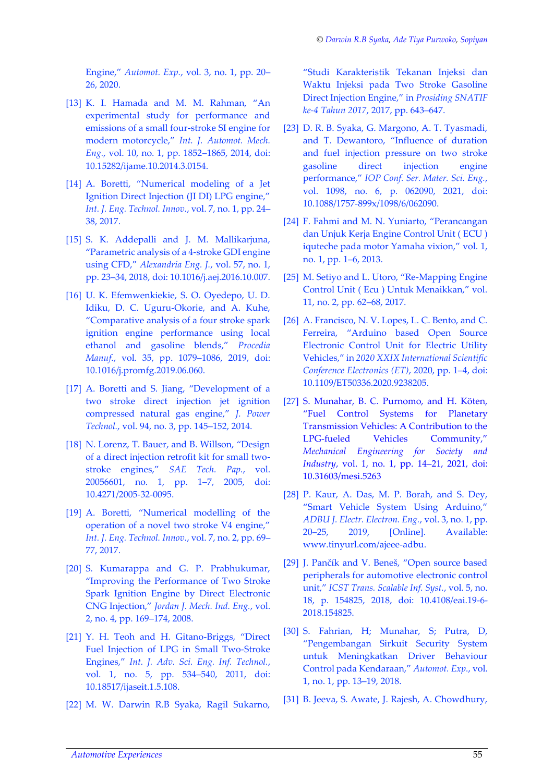Engine," *Automot. Exp.*, vol. 3, no. 1, pp. 20– 26, 2020.

- [13] K. I. Hamada and M. M. Rahman, "An experimental study for performance and emissions of a small four-stroke SI engine for modern motorcycle," *Int. J. Automot. Mech. Eng.*, vol. 10, no. 1, pp. 1852–1865, 2014, doi: 10.15282/ijame.10.2014.3.0154.
- [14] A. Boretti, "Numerical modeling of a Jet Ignition Direct Injection (JI DI) LPG engine," *Int. J. Eng. Technol. Innov.*, vol. 7, no. 1, pp. 24– 38, 2017.
- [15] S. K. Addepalli and J. M. Mallikarjuna, "Parametric analysis of a 4-stroke GDI engine using CFD," *Alexandria Eng. J.*, vol. 57, no. 1, pp. 23–34, 2018, doi: 10.1016/j.aej.2016.10.007.
- [16] U. K. Efemwenkiekie, S. O. Oyedepo, U. D. Idiku, D. C. Uguru-Okorie, and A. Kuhe, "Comparative analysis of a four stroke spark ignition engine performance using local ethanol and gasoline blends," *Procedia Manuf.*, vol. 35, pp. 1079–1086, 2019, doi: 10.1016/j.promfg.2019.06.060.
- [17] A. Boretti and S. Jiang, "Development of a two stroke direct injection jet ignition compressed natural gas engine," *J. Power Technol.*, vol. 94, no. 3, pp. 145–152, 2014.
- [18] N. Lorenz, T. Bauer, and B. Willson, "Design of a direct injection retrofit kit for small twostroke engines," *SAE Tech. Pap.*, vol. 20056601, no. 1, pp. 1–7, 2005, doi: 10.4271/2005-32-0095.
- [19] A. Boretti, "Numerical modelling of the operation of a novel two stroke V4 engine," *Int. J. Eng. Technol. Innov.*, vol. 7, no. 2, pp. 69– 77, 2017.
- [20] S. Kumarappa and G. P. Prabhukumar, "Improving the Performance of Two Stroke Spark Ignition Engine by Direct Electronic CNG Injection," *Jordan J. Mech. Ind. Eng.*, vol. 2, no. 4, pp. 169–174, 2008.
- [21] Y. H. Teoh and H. Gitano-Briggs, "Direct Fuel Injection of LPG in Small Two-Stroke Engines," *Int. J. Adv. Sci. Eng. Inf. Technol.*, vol. 1, no. 5, pp. 534–540, 2011, doi: 10.18517/ijaseit.1.5.108.
- [22] M. W. Darwin R.B Syaka, Ragil Sukarno,

"Studi Karakteristik Tekanan Injeksi dan Waktu Injeksi pada Two Stroke Gasoline Direct Injection Engine," in *Prosiding SNATIF ke-4 Tahun 2017*, 2017, pp. 643–647.

- [23] D. R. B. Syaka, G. Margono, A. T. Tyasmadi, and T. Dewantoro, "Influence of duration and fuel injection pressure on two stroke gasoline direct injection engine performance," *IOP Conf. Ser. Mater. Sci. Eng.*, vol. 1098, no. 6, p. 062090, 2021, doi: 10.1088/1757-899x/1098/6/062090.
- [24] F. Fahmi and M. N. Yuniarto, "Perancangan dan Unjuk Kerja Engine Control Unit ( ECU ) iquteche pada motor Yamaha vixion," vol. 1, no. 1, pp. 1–6, 2013.
- [25] M. Setiyo and L. Utoro, "Re-Mapping Engine Control Unit ( Ecu ) Untuk Menaikkan," vol. 11, no. 2, pp. 62–68, 2017.
- [26] A. Francisco, N. V. Lopes, L. C. Bento, and C. Ferreira, "Arduino based Open Source Electronic Control Unit for Electric Utility Vehicles," in *2020 XXIX International Scientific Conference Electronics (ET)*, 2020, pp. 1–4, doi: 10.1109/ET50336.2020.9238205.
- [27] S. Munahar, B. C. Purnomo, and H. Köten, "Fuel Control Systems for Planetary Transmission Vehicles: A Contribution to the LPG-fueled Vehicles Community," *Mechanical Engineering for Society and Industry*, vol. 1, no. 1, pp. 14–21, 2021, doi: 10.31603/mesi.5263
- [28] P. Kaur, A. Das, M. P. Borah, and S. Dey, "Smart Vehicle System Using Arduino," *ADBU J. Electr. Electron. Eng.*, vol. 3, no. 1, pp. 20–25, 2019, [Online]. Available: www.tinyurl.com/ajeee-adbu.
- [29] J. Pančík and V. Beneš, "Open source based peripherals for automotive electronic control unit," *ICST Trans. Scalable Inf. Syst.*, vol. 5, no. 18, p. 154825, 2018, doi: 10.4108/eai.19-6- 2018.154825.
- [30] S. Fahrian, H; Munahar, S; Putra, D, "Pengembangan Sirkuit Security System untuk Meningkatkan Driver Behaviour Control pada Kendaraan," *Automot. Exp.*, vol. 1, no. 1, pp. 13–19, 2018.
- [31] B. Jeeva, S. Awate, J. Rajesh, A. Chowdhury,